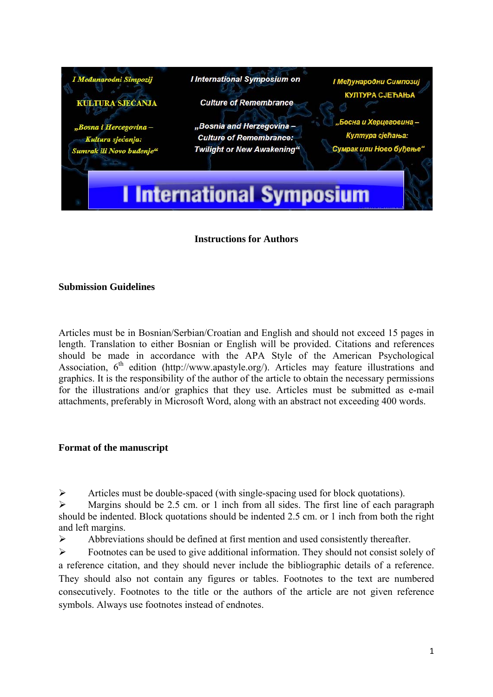

## **Instructions for Authors**

## **Submission Guidelines**

Articles must be in Bosnian/Serbian/Croatian and English and should not exceed 15 pages in length. Translation to either Bosnian or English will be provided. Citations and references should be made in accordance with the APA Style of the American Psychological Association,  $6<sup>th</sup>$  edition (http://www.apastyle.org/). Articles may feature illustrations and graphics. It is the responsibility of the author of the article to obtain the necessary permissions for the illustrations and/or graphics that they use. Articles must be submitted as e-mail attachments, preferably in Microsoft Word, along with an abstract not exceeding 400 words.

## **Format of the manuscript**

¾ Articles must be double-spaced (with single-spacing used for block quotations).

 $\triangleright$  Margins should be 2.5 cm. or 1 inch from all sides. The first line of each paragraph should be indented. Block quotations should be indented 2.5 cm. or 1 inch from both the right and left margins.

 $\triangleright$  Abbreviations should be defined at first mention and used consistently thereafter.

¾ Footnotes can be used to give additional information. They should not consist solely of a reference citation, and they should never include the bibliographic details of a reference. They should also not contain any figures or tables. Footnotes to the text are numbered consecutively. Footnotes to the title or the authors of the article are not given reference symbols. Always use footnotes instead of endnotes.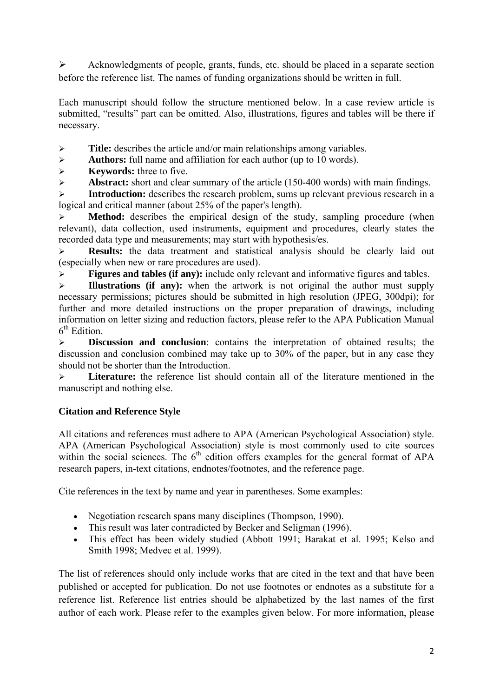¾ Acknowledgments of people, grants, funds, etc. should be placed in a separate section before the reference list. The names of funding organizations should be written in full.

Each manuscript should follow the structure mentioned below. In a case review article is submitted, "results" part can be omitted. Also, illustrations, figures and tables will be there if necessary.

¾ **Title:** describes the article and/or main relationships among variables.

¾ **Authors:** full name and affiliation for each author (up to 10 words).

¾ **Keywords:** three to five.

¾ **Abstract:** short and clear summary of the article (150-400 words) with main findings.

¾ **Introduction:** describes the research problem, sums up relevant previous research in a logical and critical manner (about 25% of the paper's length).

¾ **Method:** describes the empirical design of the study, sampling procedure (when relevant), data collection, used instruments, equipment and procedures, clearly states the recorded data type and measurements; may start with hypothesis/es.

¾ **Results:** the data treatment and statistical analysis should be clearly laid out (especially when new or rare procedures are used).

¾ **Figures and tables (if any):** include only relevant and informative figures and tables.

¾ **Illustrations (if any):** when the artwork is not original the author must supply necessary permissions; pictures should be submitted in high resolution (JPEG, 300dpi); for further and more detailed instructions on the proper preparation of drawings, including information on letter sizing and reduction factors, please refer to the APA Publication Manual  $6<sup>th</sup>$  Edition.

¾ **Discussion and conclusion**: contains the interpretation of obtained results; the discussion and conclusion combined may take up to 30% of the paper, but in any case they should not be shorter than the Introduction.

¾ **Literature:** the reference list should contain all of the literature mentioned in the manuscript and nothing else.

## **Citation and Reference Style**

All citations and references must adhere to APA (American Psychological Association) style. APA (American Psychological Association) style is most commonly used to cite sources within the social sciences. The  $6<sup>th</sup>$  edition offers examples for the general format of APA research papers, in-text citations, endnotes/footnotes, and the reference page.

Cite references in the text by name and year in parentheses. Some examples:

- Negotiation research spans many disciplines (Thompson, 1990).
- This result was later contradicted by Becker and Seligman (1996).
- This effect has been widely studied (Abbott 1991; Barakat et al. 1995; Kelso and Smith 1998; Medvec et al. 1999).

The list of references should only include works that are cited in the text and that have been published or accepted for publication. Do not use footnotes or endnotes as a substitute for a reference list. Reference list entries should be alphabetized by the last names of the first author of each work. Please refer to the examples given below. For more information, please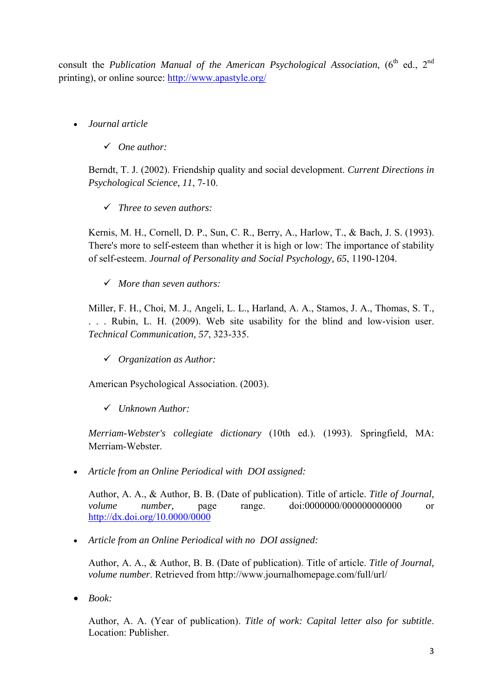consult the *Publication Manual of the American Psychological Association*, (6<sup>th</sup> ed., 2<sup>nd</sup> printing), or online source: http://www.apastyle.org/

- *Journal article* 
	- 9 *One author:*

Berndt, T. J. (2002). Friendship quality and social development. *Current Directions in Psychological Science, 11*, 7-10.

9 *Three to seven authors:* 

Kernis, M. H., Cornell, D. P., Sun, C. R., Berry, A., Harlow, T., & Bach, J. S. (1993). There's more to self-esteem than whether it is high or low: The importance of stability of self-esteem. *Journal of Personality and Social Psychology, 65*, 1190-1204.

9 *More than seven authors:* 

Miller, F. H., Choi, M. J., Angeli, L. L., Harland, A. A., Stamos, J. A., Thomas, S. T., . . . Rubin, L. H. (2009). Web site usability for the blind and low-vision user. *Technical Communication, 57*, 323-335.

9 *Organization as Author:* 

American Psychological Association. (2003).

9 *Unknown Author:* 

*Merriam-Webster's collegiate dictionary* (10th ed.). (1993). Springfield, MA: Merriam-Webster.

• *Article from an Online Periodical with DOI assigned:* 

Author, A. A., & Author, B. B. (Date of publication). Title of article. *Title of Journal, volume number,* page range. doi:0000000/000000000000 or http://dx.doi.org/10.0000/0000

• *Article from an Online Periodical with no DOI assigned:* 

Author, A. A., & Author, B. B. (Date of publication). Title of article. *Title of Journal, volume number*. Retrieved from http://www.journalhomepage.com/full/url/

• *Book:* 

Author, A. A. (Year of publication). *Title of work: Capital letter also for subtitle*. Location: Publisher.